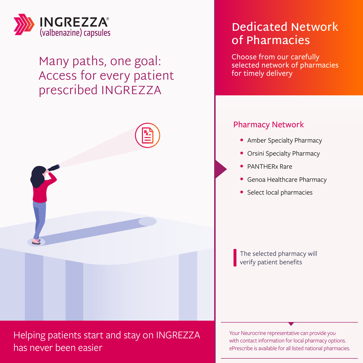

### Many paths, one goal: Access for every patient prescribed INGREZZA



Helping patients start and stay on INGREZZA has never been easier

### **Dedicated Network of Pharmacies**

Choose from our carefully selected network of pharmacies for timely delivery

### Pharmacy Network

- Amber Specialty Pharmacy
- Orsini Specialty Pharmacy
- PANTHERx Rare
- Genoa Healthcare Pharmacy
- Select local pharmacies

The selected pharmacy will verify patient benefits

Your Neurocrine representative can provide you with contact information for local pharmacy options. ePrescribe is available for all listed national pharmacies.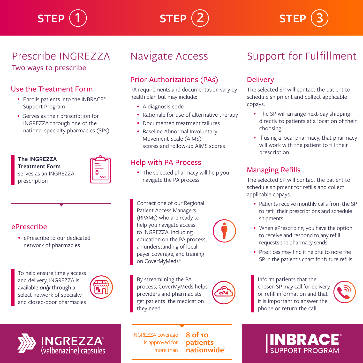### Prescribe INGREZZA Two ways to prescribe

#### Use the Treatment Form

- Enrolls patients into the INBRACE® Support Program
- Serves as their prescription for INGREZZA through one of the national specialty pharmacies (SPs)

**The INGREZZA Treatment Form** serves as an INGREZZA prescription



### ePrescribe

• ePrescribe to our dedicated network of pharmacies

To help ensure timely access and delivery, INGREZZA is available *only* through a select network of specialty and closed-door pharmacies

**INGREZZA®** 

(valbenazine) capsules



# Prior Authorizations (PAs)

PA requirements and documentation vary by health plan but may include:

• A diagnosis code

Navigate Access

 $\textsf{STEP}\ (\textsf{1}) \qquad \textsf{STEP}\ (\textsf{2}) \qquad \textsf{STEP}\ (1)$ 

- Rationale for use of alternative therapy
- Documented treatment failures
- Baseline Abnormal Involuntary Movement Scale (AIMS) scores and follow-up AIMS scores

### Help with PA Process

• The selected pharmacy will help you navigate the PA process

Contact one of our Regional Patient Access Managers (RPAMs) who are ready to help you navigate access to INGREZZA, including education on the PA process, an understanding of local payer coverage, and training on CoverMyMeds®

By streamlining the PA process, CoverMyMeds helps providers and pharmacists get patients the medication they need



#### INGREZZA coverage is approved for more than

**8 of 10 patients nationwide** 

## Support for Fulfillment

### **Delivery**

The selected SP will contact the patient to schedule shipment and collect applicable copays.

- The SP will arrange next-day shipping directly to patients at a location of their choosing
- If using a local pharmacy, that pharmacy will work with the patient to fill their prescription

### Managing Refills

The selected SP will contact the patient to schedule shipment for refills and collect applicable copays.

- Patients receive monthly calls from the SP to refill their prescriptions and schedule shipments
- When ePrescribing, you have the option to receive and respond to any refill requests the pharmacy sends
- Practices may find it helpful to note the SP in the patient's chart for future refills

Inform patients that the chosen SP may call for delivery or refill information and that it is important to answer the phone or return the call